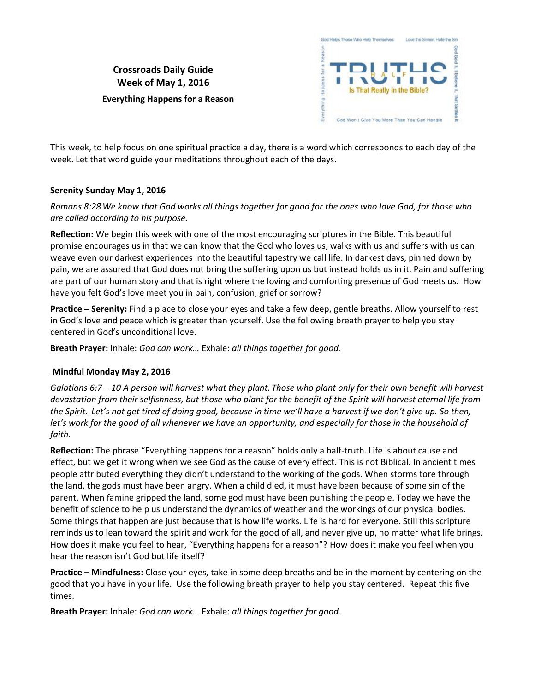**Crossroads Daily Guide Week of May 1, 2016 Everything Happens for a Reason**



This week, to help focus on one spiritual practice a day, there is a word which corresponds to each day of the week. Let that word guide your meditations throughout each of the days.

# **Serenity Sunday May 1, 2016**

*Romans 8:28We know that God works all things together for good for the ones who love God, for those who are called according to his purpose.*

**Reflection:** We begin this week with one of the most encouraging scriptures in the Bible. This beautiful promise encourages us in that we can know that the God who loves us, walks with us and suffers with us can weave even our darkest experiences into the beautiful tapestry we call life. In darkest days, pinned down by pain, we are assured that God does not bring the suffering upon us but instead holds us in it. Pain and suffering are part of our human story and that is right where the loving and comforting presence of God meets us. How have you felt God's love meet you in pain, confusion, grief or sorrow?

**Practice – Serenity:** Find a place to close your eyes and take a few deep, gentle breaths. Allow yourself to rest in God's love and peace which is greater than yourself. Use the following breath prayer to help you stay centered in God's unconditional love.

**Breath Prayer:** Inhale: *God can work…* Exhale: *all things together for good.*

## **Mindful Monday May 2, 2016**

*Galatians 6:7 – 10 A person will harvest what they plant. Those who plant only for their own benefit will harvest devastation from their selfishness, but those who plant for the benefit of the Spirit will harvest eternal life from the Spirit. Let's not get tired of doing good, because in time we'll have a harvest if we don't give up. So then,*  let's work for the good of all whenever we have an opportunity, and especially for those in the household of *faith.*

**Reflection:** The phrase "Everything happens for a reason" holds only a half-truth. Life is about cause and effect, but we get it wrong when we see God as the cause of every effect. This is not Biblical. In ancient times people attributed everything they didn't understand to the working of the gods. When storms tore through the land, the gods must have been angry. When a child died, it must have been because of some sin of the parent. When famine gripped the land, some god must have been punishing the people. Today we have the benefit of science to help us understand the dynamics of weather and the workings of our physical bodies. Some things that happen are just because that is how life works. Life is hard for everyone. Still this scripture reminds us to lean toward the spirit and work for the good of all, and never give up, no matter what life brings. How does it make you feel to hear, "Everything happens for a reason"? How does it make you feel when you hear the reason isn't God but life itself?

**Practice – Mindfulness:** Close your eyes, take in some deep breaths and be in the moment by centering on the good that you have in your life. Use the following breath prayer to help you stay centered. Repeat this five times.

**Breath Prayer:** Inhale: *God can work…* Exhale: *all things together for good.*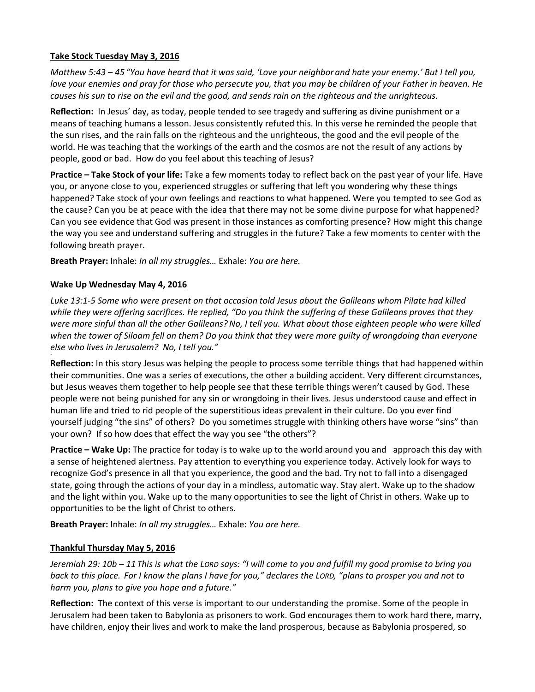### **Take Stock Tuesday May 3, 2016**

*Matthew 5:43 – 45 "You have heard that it was said, 'Love your neighbor and hate your enemy.' But I tell you, love your enemies and pray for those who persecute you, that you may be children of your Father in heaven. He causes his sun to rise on the evil and the good, and sends rain on the righteous and the unrighteous.* 

**Reflection:** In Jesus' day, as today, people tended to see tragedy and suffering as divine punishment or a means of teaching humans a lesson. Jesus consistently refuted this. In this verse he reminded the people that the sun rises, and the rain falls on the righteous and the unrighteous, the good and the evil people of the world. He was teaching that the workings of the earth and the cosmos are not the result of any actions by people, good or bad. How do you feel about this teaching of Jesus?

**Practice – Take Stock of your life:** Take a few moments today to reflect back on the past year of your life. Have you, or anyone close to you, experienced struggles or suffering that left you wondering why these things happened? Take stock of your own feelings and reactions to what happened. Were you tempted to see God as the cause? Can you be at peace with the idea that there may not be some divine purpose for what happened? Can you see evidence that God was present in those instances as comforting presence? How might this change the way you see and understand suffering and struggles in the future? Take a few moments to center with the following breath prayer.

**Breath Prayer:** Inhale: *In all my struggles…* Exhale: *You are here.*

### **Wake Up Wednesday May 4, 2016**

*"*

*Luke 13:1-5 Some who were present on that occasion told Jesus about the Galileans whom Pilate had killed while they were offering sacrifices. He replied, "Do you think the suffering of these Galileans proves that they were more sinful than all the other Galileans?No, I tell you. What about those eighteen people who were killed when the tower of Siloam fell on them? Do you think that they were more guilty of wrongdoing than everyone else who lives in Jerusalem? No, I tell you."*

**Reflection:** In this story Jesus was helping the people to process some terrible things that had happened within their communities. One was a series of executions, the other a building accident. Very different circumstances, but Jesus weaves them together to help people see that these terrible things weren't caused by God. These people were not being punished for any sin or wrongdoing in their lives. Jesus understood cause and effect in human life and tried to rid people of the superstitious ideas prevalent in their culture. Do you ever find yourself judging "the sins" of others? Do you sometimes struggle with thinking others have worse "sins" than your own? If so how does that effect the way you see "the others"?

**Practice – Wake Up:** The practice for today is to wake up to the world around you and approach this day with a sense of heightened alertness. Pay attention to everything you experience today. Actively look for ways to recognize God's presence in all that you experience, the good and the bad. Try not to fall into a disengaged state, going through the actions of your day in a mindless, automatic way. Stay alert. Wake up to the shadow and the light within you. Wake up to the many opportunities to see the light of Christ in others. Wake up to opportunities to be the light of Christ to others.

**Breath Prayer:** Inhale: *In all my struggles…* Exhale: *You are here.*

## **Thankful Thursday May 5, 2016**

*Jeremiah 29: 10b – 11 This is what the LORD says: "I will come to you and fulfill my good promise to bring you back to this place. For I know the plans I have for you," declares the LORD, "plans to prosper you and not to harm you, plans to give you hope and a future."*

**Reflection:** The context of this verse is important to our understanding the promise. Some of the people in Jerusalem had been taken to Babylonia as prisoners to work. God encourages them to work hard there, marry, have children, enjoy their lives and work to make the land prosperous, because as Babylonia prospered, so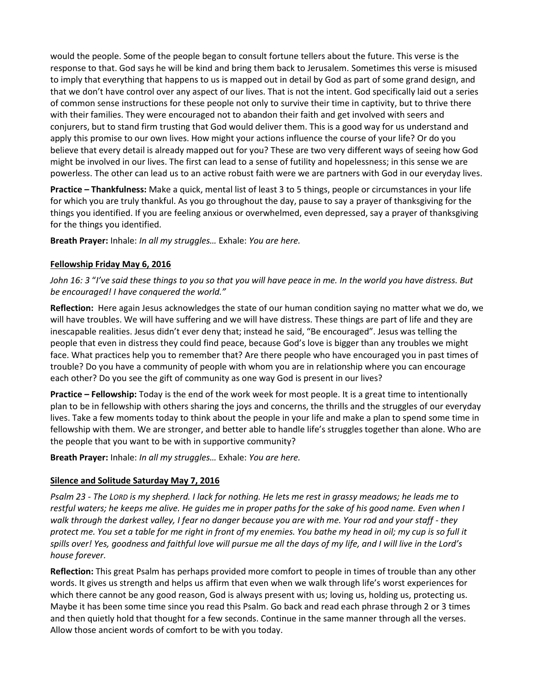would the people. Some of the people began to consult fortune tellers about the future. This verse is the response to that. God says he will be kind and bring them back to Jerusalem. Sometimes this verse is misused to imply that everything that happens to us is mapped out in detail by God as part of some grand design, and that we don't have control over any aspect of our lives. That is not the intent. God specifically laid out a series of common sense instructions for these people not only to survive their time in captivity, but to thrive there with their families. They were encouraged not to abandon their faith and get involved with seers and conjurers, but to stand firm trusting that God would deliver them. This is a good way for us understand and apply this promise to our own lives. How might your actions influence the course of your life? Or do you believe that every detail is already mapped out for you? These are two very different ways of seeing how God might be involved in our lives. The first can lead to a sense of futility and hopelessness; in this sense we are powerless. The other can lead us to an active robust faith were we are partners with God in our everyday lives.

**Practice – Thankfulness:** Make a quick, mental list of least 3 to 5 things, people or circumstances in your life for which you are truly thankful. As you go throughout the day, pause to say a prayer of thanksgiving for the things you identified. If you are feeling anxious or overwhelmed, even depressed, say a prayer of thanksgiving for the things you identified.

**Breath Prayer:** Inhale: *In all my struggles…* Exhale: *You are here.*

## **Fellowship Friday May 6, 2016**

*John 16: 3* "*I've said these things to you so that you will have peace in me. In the world you have distress. But be encouraged! I have conquered the world."*

**Reflection:** Here again Jesus acknowledges the state of our human condition saying no matter what we do, we will have troubles. We will have suffering and we will have distress. These things are part of life and they are inescapable realities. Jesus didn't ever deny that; instead he said, "Be encouraged". Jesus was telling the people that even in distress they could find peace, because God's love is bigger than any troubles we might face. What practices help you to remember that? Are there people who have encouraged you in past times of trouble? Do you have a community of people with whom you are in relationship where you can encourage each other? Do you see the gift of community as one way God is present in our lives?

**Practice – Fellowship:** Today is the end of the work week for most people. It is a great time to intentionally plan to be in fellowship with others sharing the joys and concerns, the thrills and the struggles of our everyday lives. Take a few moments today to think about the people in your life and make a plan to spend some time in fellowship with them. We are stronger, and better able to handle life's struggles together than alone. Who are the people that you want to be with in supportive community?

**Breath Prayer:** Inhale: *In all my struggles…* Exhale: *You are here.*

## **Silence and Solitude Saturday May 7, 2016**

*Psalm 23 - The LORD is my shepherd. I lack for nothing. He lets me rest in grassy meadows; he leads me to restful waters; he keeps me alive. He guides me in proper paths for the sake of his good name. Even when I walk through the darkest valley, I fear no danger because you are with me. Your rod and your staff - they protect me. You set a table for me right in front of my enemies. You bathe my head in oil; my cup is so full it spills over! Yes, goodness and faithful love will pursue me all the days of my life, and I will live in the Lord's house forever.*

**Reflection:** This great Psalm has perhaps provided more comfort to people in times of trouble than any other words. It gives us strength and helps us affirm that even when we walk through life's worst experiences for which there cannot be any good reason, God is always present with us; loving us, holding us, protecting us. Maybe it has been some time since you read this Psalm. Go back and read each phrase through 2 or 3 times and then quietly hold that thought for a few seconds. Continue in the same manner through all the verses. Allow those ancient words of comfort to be with you today.